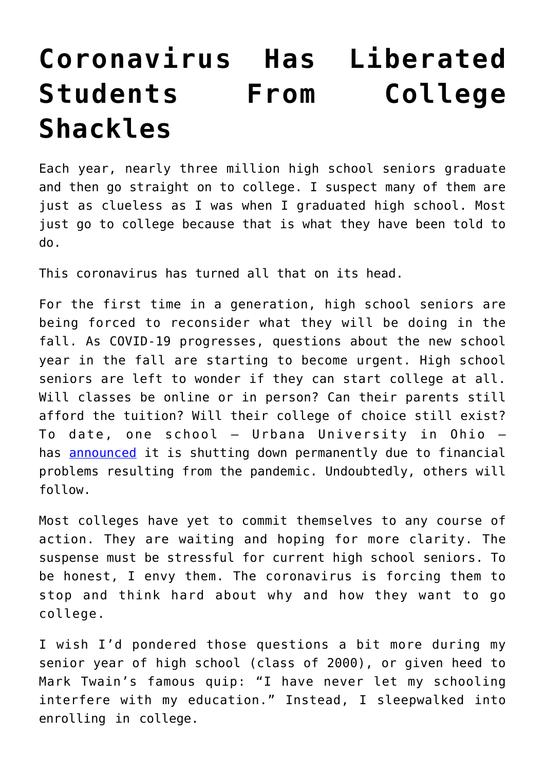## **[Coronavirus Has Liberated](https://intellectualtakeout.org/2020/05/coronavirus-has-liberated-students-from-college-shackles/) [Students From College](https://intellectualtakeout.org/2020/05/coronavirus-has-liberated-students-from-college-shackles/) [Shackles](https://intellectualtakeout.org/2020/05/coronavirus-has-liberated-students-from-college-shackles/)**

Each year, nearly three million high school seniors graduate and then go straight on to college. I suspect many of them are just as clueless as I was when I graduated high school. Most just go to college because that is what they have been told to do.

This coronavirus has turned all that on its head.

For the first time in a generation, high school seniors are being forced to reconsider what they will be doing in the fall. As COVID-19 progresses, questions about the new school year in the fall are starting to become urgent. High school seniors are left to wonder if they can start college at all. Will classes be online or in person? Can their parents still afford the tuition? Will their college of choice still exist? To date, one school – Urbana University in Ohio – has **[announced](https://www.chronicle.com/article/Colleges-Are-Already-Deciding/248609)** it is shutting down permanently due to financial problems resulting from the pandemic. Undoubtedly, others will follow.

Most colleges have yet to commit themselves to any course of action. They are waiting and hoping for more clarity. The suspense must be stressful for current high school seniors. To be honest, I envy them. The coronavirus is forcing them to stop and think hard about why and how they want to go college.

I wish I'd pondered those questions a bit more during my senior year of high school (class of 2000), or given heed to Mark Twain's famous quip: "I have never let my schooling interfere with my education." Instead, I sleepwalked into enrolling in college.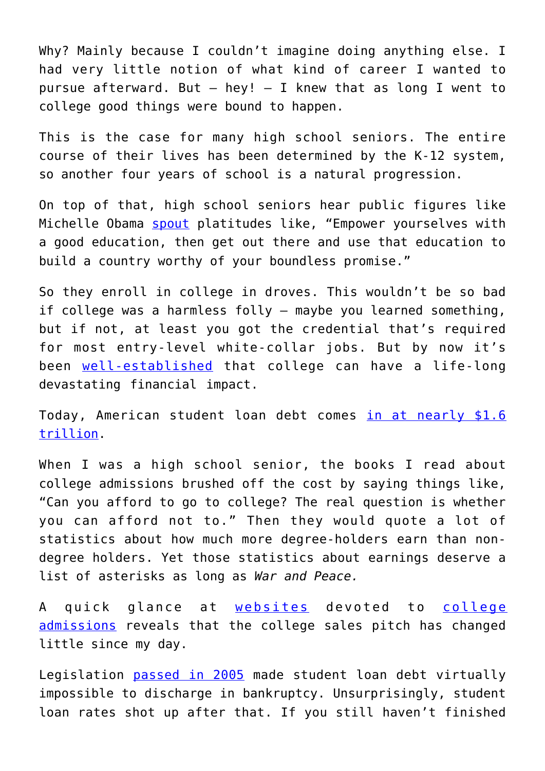Why? Mainly because I couldn't imagine doing anything else. I had very little notion of what kind of career I wanted to pursue afterward. But  $-$  hey!  $-$  I knew that as long I went to college good things were bound to happen.

This is the case for many high school seniors. The entire course of their lives has been determined by the K-12 system, so another four years of school is a natural progression.

On top of that, high school seniors hear public figures like Michelle Obama [spout](https://www.newsweek.com/michelle-obama-young-americans-empower-yourselves-higher-education-539668) platitudes like, "Empower yourselves with a good education, then get out there and use that education to build a country worthy of your boundless promise."

So they enroll in college in droves. This wouldn't be so bad if college was a harmless folly – maybe you learned something, but if not, at least you got the credential that's required for most entry-level white-collar jobs. But by now it's been [well-established](https://www.nbcnews.com/news/us-news/student-loan-statistics-2019-n997836) that college can have a life-long devastating financial impact.

Today, American student loan debt comes [in at nearly \\$1.6](https://www.forbes.com/sites/zackfriedman/2020/02/03/student-loan-debt-statistics/#7cee5ab6281f) [trillion.](https://www.forbes.com/sites/zackfriedman/2020/02/03/student-loan-debt-statistics/#7cee5ab6281f)

When I was a high school senior, the books I read about college admissions brushed off the cost by saying things like, "Can you afford to go to college? The real question is whether you can afford not to." Then they would quote a lot of statistics about how much more degree-holders earn than nondegree holders. Yet those statistics about earnings deserve a list of asterisks as long as *War and Peace.*

A quick glance at [websites](https://www.ohe.state.mn.us/mPg.cfm?pageID=2182) devoted to [college](http://www.educationplanner.org/students/career-planning/explore-salary-pay/does-college-pay-off.shtml) [admissions](http://www.educationplanner.org/students/career-planning/explore-salary-pay/does-college-pay-off.shtml) reveals that the college sales pitch has changed little since my day.

Legislation [passed in 2005](https://business.time.com/2012/02/09/why-cant-you-discharge-student-loans-in-bankruptcy/) made student loan debt virtually impossible to discharge in bankruptcy. Unsurprisingly, student loan rates shot up after that. If you still haven't finished